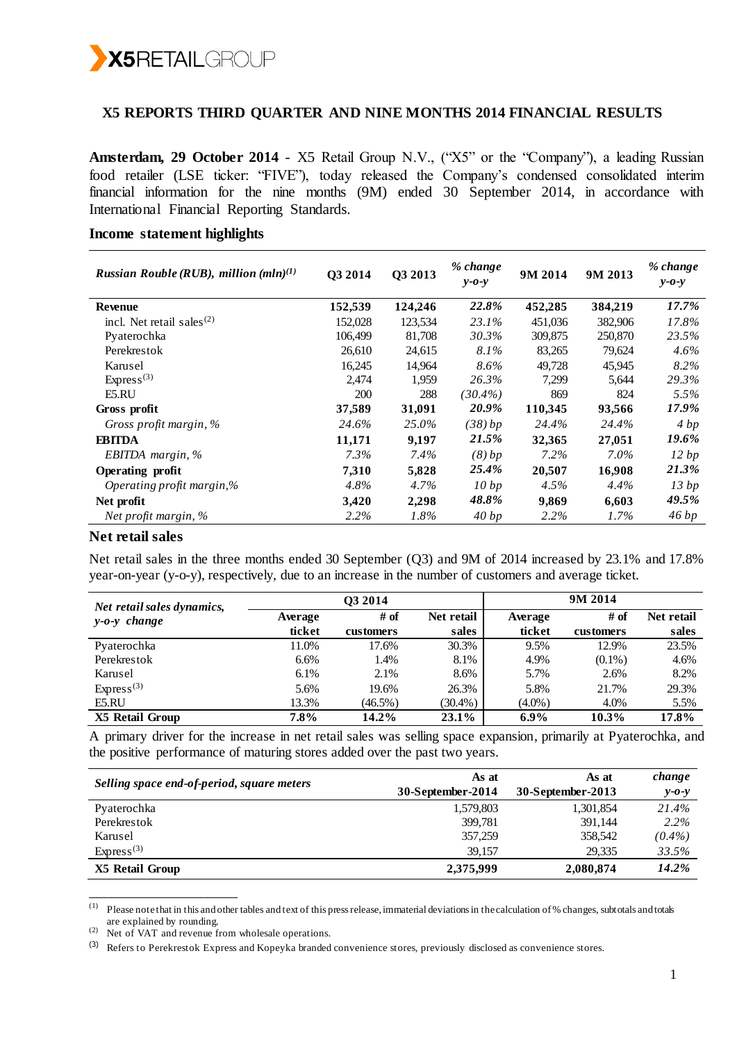

### **X5 REPORTS THIRD QUARTER AND NINE MONTHS 2014 FINANCIAL RESULTS**

**Amsterdam, 29 October 2014** - X5 Retail Group N.V., ("X5" or the "Company"), a leading Russian food retailer (LSE ticker: "FIVE"), today released the Company's condensed consolidated interim financial information for the nine months (9M) ended 30 September 2014, in accordance with International Financial Reporting Standards.

#### *Russian Rouble (RUB), million*  $(mln)^{(1)}$  **Q3 2014 Q3 2013** *% change y-o-y* **9M 2014 9M 2013** *% change y-o-y* **Revenue 152,539 124,246** *22.8%* **452,285 384,219** *17.7%* incl. Net retail sales $(2)$  152,028 123,534 *23.1%* 451,036 382,906 *17.8%* Pyaterochka 106,499 81,708 *30.3%* 309,875 250,870 *23.5%* Perekrestok 26,610 24,615 *8.1%* 83,265 79,624 *4.6%* Karusel 16,245 14,964 *8.6%* 49,728 45,945 *8.2%* Express<sup>(3)</sup> 2,474 1,959 *26.3%* 7,299 5,644 *29.3%* E5.RU 200 288 *(30.4%)* 869 824 *5.5%* **Gross profit 37,589 31,091** *20.9%* **110,345 93,566** *17.9% Gross profit margin, % 24.6% 25.0% (38) bp 24.4% 24.4% 4 bp* **EBITDA 11,171 9,197** *21.5%* **32,365 27,051** *19.6% EBITDA margin, % 7.3% 7.4% (8) bp 7.2% 7.0% 12 bp* **Operating profit 7,310 5,828** *25.4%* **20,507 16,908** *21.3% Operating profit margin,% 4.8% 4.7% 10 bp 4.5% 4.4% 13 bp* **Net profit 3,420 2,298** *48.8%* **9,869 6,603** *49.5% Net profit margin, % 2.2% 1.8% 40 bp 2.2% 1.7% 46 bp*

### **Income statement highlights**

#### **Net retail sales**

Net retail sales in the three months ended 30 September (Q3) and 9M of 2014 increased by 23.1% and 17.8% year-on-year (y-o-y), respectively, due to an increase in the number of customers and average ticket.

| Net retail sales dynamics, | O <sub>3</sub> 2014 |            |            | 9M 2014   |           |            |  |
|----------------------------|---------------------|------------|------------|-----------|-----------|------------|--|
| $y-o-y$ change             | Average             | # of       | Net retail | Average   | # of      | Net retail |  |
|                            | ticket              | customers  | sales      | ticket    | customers | sales      |  |
| Pyaterochka                | 11.0%               | 17.6%      | 30.3%      | 9.5%      | 12.9%     | 23.5%      |  |
| Perekrestok                | 6.6%                | 1.4%       | 8.1%       | 4.9%      | $(0.1\%)$ | 4.6%       |  |
| Karusel                    | 6.1%                | 2.1%       | 8.6%       | 5.7%      | 2.6%      | 8.2%       |  |
| Express <sup>(3)</sup>     | 5.6%                | 19.6%      | 26.3%      | 5.8%      | 21.7%     | 29.3%      |  |
| E5.RU                      | 13.3%               | $(46.5\%)$ | $(30.4\%)$ | $(4.0\%)$ | 4.0%      | 5.5%       |  |
| X5 Retail Group            | 7.8%                | 14.2%      | 23.1%      | $6.9\%$   | $10.3\%$  | 17.8%      |  |

A primary driver for the increase in net retail sales was selling space expansion, primarily at Pyaterochka, and the positive performance of maturing stores added over the past two years.

| Selling space end-of-period, square meters | As at             | As at             | change      |
|--------------------------------------------|-------------------|-------------------|-------------|
|                                            | 30-September-2014 | 30-September-2013 | $y - 0 - y$ |
| Pyaterochka                                | 1,579,803         | 1,301,854         | 21.4%       |
| Perekrestok                                | 399.781           | 391.144           | 2.2%        |
| Karusel                                    | 357,259           | 358,542           | $(0.4\%)$   |
| Express <sup>(3)</sup>                     | 39.157            | 29.335            | 33.5%       |
| X5 Retail Group                            | 2,375,999         | 2,080,874         | 14.2%       |

 $(1)$  Please note that in this and other tables and text of this press release, immaterial deviations in the calculation of % changes, subtotals and totals are explained by rounding.

\_\_\_\_\_\_\_\_\_\_\_\_\_\_\_\_\_\_\_\_

<sup>(2)</sup> Net of VAT and revenue from wholesale operations.

<sup>(3)</sup> Refers to Perekrestok Express and Kopeyka branded convenience stores, previously disclosed as convenience stores.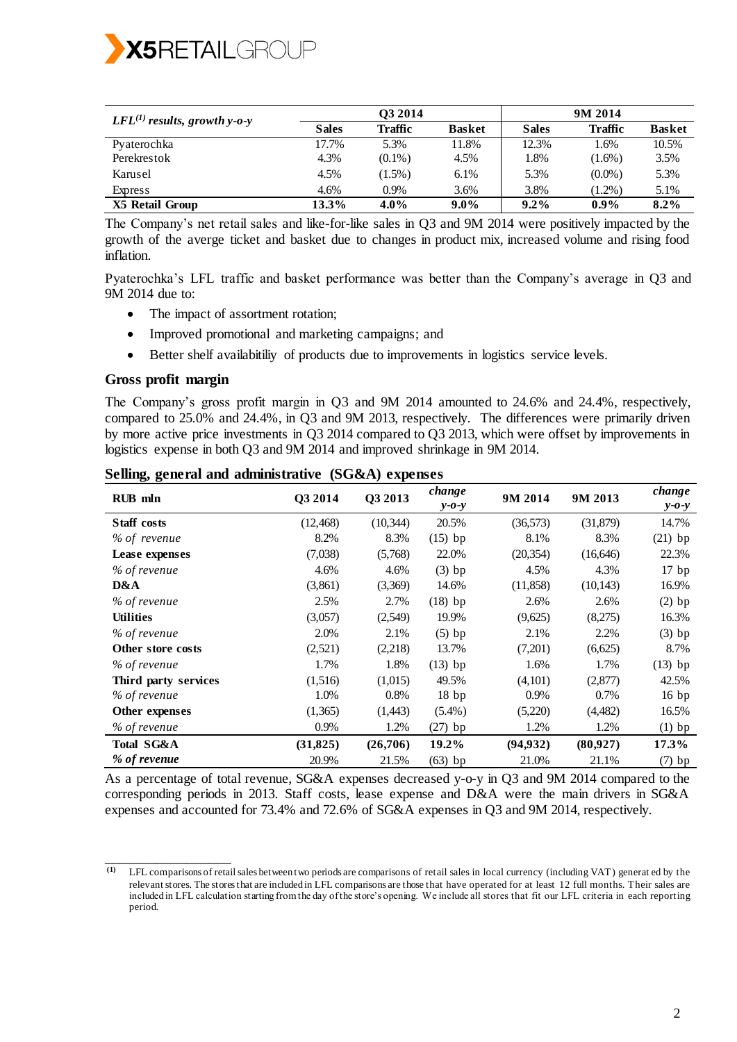

| $LFL^{(1)}$ results, growth y-o-y |              | O <sub>3</sub> 2014 |               |              | 9M 2014        |               |  |
|-----------------------------------|--------------|---------------------|---------------|--------------|----------------|---------------|--|
|                                   | <b>Sales</b> | Traffic             | <b>Basket</b> | <b>Sales</b> | <b>Traffic</b> | <b>Basket</b> |  |
| Pyaterochka                       | 17.7%        | 5.3%                | 11.8%         | 12.3%        | 1.6%           | 10.5%         |  |
| Perekrestok                       | 4.3%         | $(0.1\%)$           | 4.5%          | 1.8%         | $(1.6\%)$      | 3.5%          |  |
| Karusel                           | 4.5%         | $(1.5\%)$           | 6.1%          | 5.3%         | $(0.0\%)$      | 5.3%          |  |
| <b>Express</b>                    | 4.6%         | $0.9\%$             | 3.6%          | 3.8%         | $(1.2\%)$      | 5.1%          |  |
| X5 Retail Group                   | 13.3%        | $4.0\%$             | $9.0\%$       | $9.2\%$      | $0.9\%$        | $8.2\%$       |  |

The Company's net retail sales and like-for-like sales in Q3 and 9M 2014 were positively impacted by the growth of the averge ticket and basket due to changes in product mix, increased volume and rising food inflation.

Pyaterochka's LFL traffic and basket performance was better than the Company's average in Q3 and 9M 2014 due to:

- The impact of assortment rotation;
- Improved promotional and marketing campaigns; and
- Better shelf availabitiliy of products due to improvements in logistics service levels.

#### **Gross profit margin**

\_\_\_\_\_\_\_\_\_\_\_\_\_\_\_\_\_

The Company's gross profit margin in Q3 and 9M 2014 amounted to 24.6% and 24.4%, respectively, compared to 25.0% and 24.4%, in Q3 and 9M 2013, respectively. The differences were primarily driven by more active price investments in Q3 2014 compared to Q3 2013, which were offset by improvements in logistics expense in both Q3 and 9M 2014 and improved shrinkage in 9M 2014.

| <b>RUB</b> mln       | Q3 2014   | Q3 2013   | change<br>$y - 0 - y$ | 9M 2014   | 9M 2013   | change<br>$y - 0 - y$ |
|----------------------|-----------|-----------|-----------------------|-----------|-----------|-----------------------|
| <b>Staff</b> costs   | (12, 468) | (10, 344) | 20.5%                 | (36, 573) | (31,879)  | 14.7%                 |
| % of revenue         | 8.2%      | 8.3%      | $(15)$ bp             | 8.1%      | 8.3%      | $(21)$ bp             |
| Lease expenses       | (7,038)   | (5,768)   | 22.0%                 | (20, 354) | (16, 646) | 22.3%                 |
| % of revenue         | 4.6%      | 4.6%      | $(3)$ bp              | 4.5%      | 4.3%      | 17bp                  |
| D&A                  | (3,861)   | (3,369)   | 14.6%                 | (11,858)  | (10, 143) | 16.9%                 |
| % of revenue         | 2.5%      | 2.7%      | $(18)$ bp             | 2.6%      | 2.6%      | $(2)$ bp              |
| <b>Utilities</b>     | (3,057)   | (2,549)   | 19.9%                 | (9,625)   | (8,275)   | 16.3%                 |
| % of revenue         | 2.0%      | 2.1%      | $(5)$ bp              | 2.1%      | 2.2%      | $(3)$ bp              |
| Other store costs    | (2,521)   | (2,218)   | 13.7%                 | (7,201)   | (6,625)   | 8.7%                  |
| % of revenue         | 1.7%      | 1.8%      | $(13)$ bp             | 1.6%      | 1.7%      | $(13)$ bp             |
| Third party services | (1,516)   | (1,015)   | 49.5%                 | (4,101)   | (2,877)   | 42.5%                 |
| % of revenue         | 1.0%      | 0.8%      | 18bp                  | 0.9%      | 0.7%      | 16bp                  |
| Other expenses       | (1,365)   | (1,443)   | $(5.4\%)$             | (5,220)   | (4, 482)  | 16.5%                 |
| % of revenue         | 0.9%      | 1.2%      | $(27)$ bp             | 1.2%      | 1.2%      | $(1)$ bp              |
| Total SG&A           | (31, 825) | (26,706)  | 19.2%                 | (94, 932) | (80,927)  | 17.3%                 |
| % of revenue         | 20.9%     | 21.5%     | $(63)$ bp             | 21.0%     | 21.1%     | $(7)$ bp              |

**Selling, general and administrative (SG&A) expenses** 

As a percentage of total revenue, SG&A expenses decreased y-o-y in Q3 and 9M 2014 compared to the corresponding periods in 2013. Staff costs, lease expense and D&A were the main drivers in SG&A expenses and accounted for 73.4% and 72.6% of SG&A expenses in Q3 and 9M 2014, respectively.

**<sup>(1)</sup>** LFL comparisons of retail sales between two periods are comparisons of retail sales in local currency (including VAT) generat ed by the relevant stores. The stores that are included in LFL comparisons are those that have operated for at least 12 full months. Their sales are included in LFL calculation starting from the day of the store's opening. We include all stores that fit our LFL criteria in each reporting period.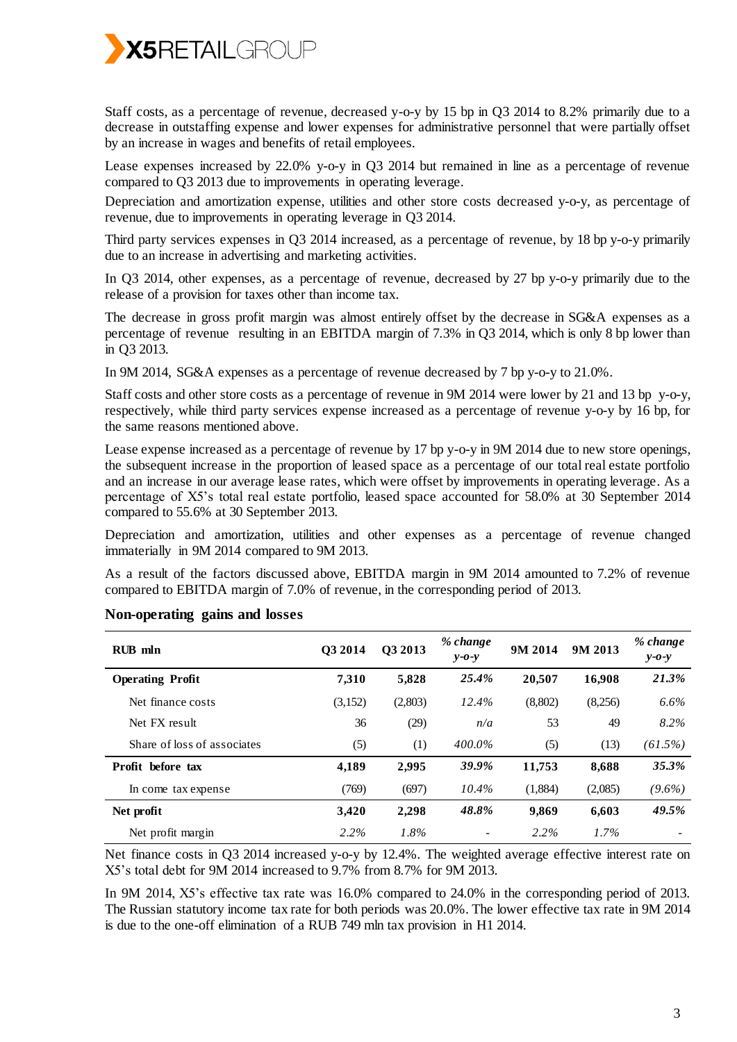

Staff costs, as a percentage of revenue, decreased y-o-y by 15 bp in Q3 2014 to 8.2% primarily due to a decrease in outstaffing expense and lower expenses for administrative personnel that were partially offset by an increase in wages and benefits of retail employees.

Lease expenses increased by 22.0% y-o-y in Q3 2014 but remained in line as a percentage of revenue compared to Q3 2013 due to improvements in operating leverage.

Depreciation and amortization expense, utilities and other store costs decreased y-o-y, as percentage of revenue, due to improvements in operating leverage in Q3 2014.

Third party services expenses in Q3 2014 increased, as a percentage of revenue, by 18 bp y-o-y primarily due to an increase in advertising and marketing activities.

In Q3 2014, other expenses, as a percentage of revenue, decreased by 27 bp y-o-y primarily due to the release of a provision for taxes other than income tax.

The decrease in gross profit margin was almost entirely offset by the decrease in SG&A expenses as a percentage of revenue resulting in an EBITDA margin of 7.3% in Q3 2014, which is only 8 bp lower than in Q3 2013.

In 9M 2014, SG&A expenses as a percentage of revenue decreased by 7 bp y-o-y to 21.0%.

Staff costs and other store costs as a percentage of revenue in 9M 2014 were lower by 21 and 13 bp y-o-y, respectively, while third party services expense increased as a percentage of revenue y-o-y by 16 bp, for the same reasons mentioned above.

Lease expense increased as a percentage of revenue by 17 bp y-o-y in 9M 2014 due to new store openings, the subsequent increase in the proportion of leased space as a percentage of our total real estate portfolio and an increase in our average lease rates, which were offset by improvements in operating leverage. As a percentage of X5's total real estate portfolio, leased space accounted for 58.0% at 30 September 2014 compared to 55.6% at 30 September 2013.

Depreciation and amortization, utilities and other expenses as a percentage of revenue changed immaterially in 9M 2014 compared to 9M 2013.

As a result of the factors discussed above, EBITDA margin in 9M 2014 amounted to 7.2% of revenue compared to EBITDA margin of 7.0% of revenue, in the corresponding period of 2013.

| $RIB$ mln                   | O3 2014 | Q3 2013 | % change<br>$v$ -0- $v$ | 9M 2014 | 9M 2013 | % change<br>$y - 0 - y$ |
|-----------------------------|---------|---------|-------------------------|---------|---------|-------------------------|
| <b>Operating Profit</b>     | 7.310   | 5,828   | 25.4%                   | 20.507  | 16,908  | 21.3%                   |
| Net finance costs           | (3,152) | (2,803) | 12.4%                   | (8,802) | (8,256) | $6.6\%$                 |
| Net FX result               | 36      | (29)    | n/a                     | 53      | 49      | 8.2%                    |
| Share of loss of associates | (5)     | (1)     | $400.0\%$               | (5)     | (13)    | $(61.5\%)$              |
| Profit before tax           | 4,189   | 2,995   | 39.9%                   | 11,753  | 8,688   | 35.3%                   |
| In come tax expense         | (769)   | (697)   | $10.4\%$                | (1,884) | (2,085) | $(9.6\%)$               |
| Net profit                  | 3,420   | 2,298   | 48.8%                   | 9,869   | 6,603   | 49.5%                   |
| Net profit margin           | $2.2\%$ | $1.8\%$ |                         | $2.2\%$ | $1.7\%$ |                         |

#### **Non-operating gains and losses**

Net finance costs in Q3 2014 increased y-o-y by 12.4%. The weighted average effective interest rate on X5's total debt for 9M 2014 increased to 9.7% from 8.7% for 9M 2013.

In 9M 2014, X5's effective tax rate was 16.0% compared to 24.0% in the corresponding period of 2013. The Russian statutory income tax rate for both periods was 20.0%. The lower effective tax rate in 9M 2014 is due to the one-off elimination of a RUB 749 mln tax provision in H1 2014.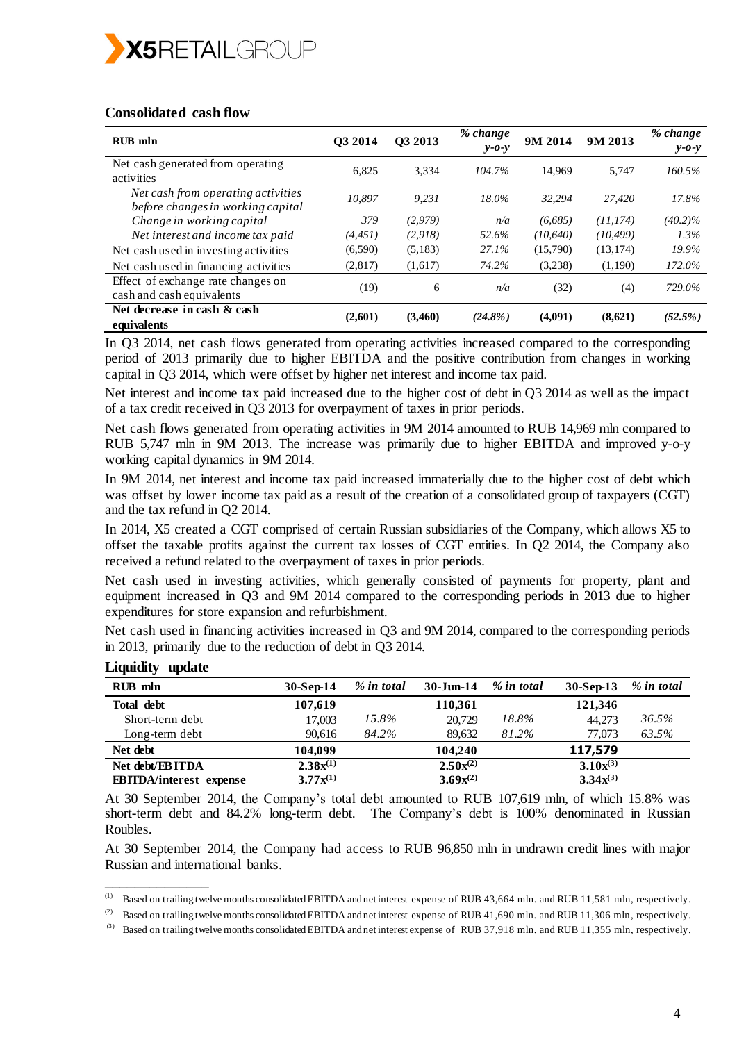

### **Consolidated cash flow**

| <b>RUB</b> mln                                                          | O <sub>3</sub> 2014 | 03 2013 | % change<br>$v$ -0- $v$ | 9M 2014   | 9M 2013   | % change<br>$y - 0 - y$ |
|-------------------------------------------------------------------------|---------------------|---------|-------------------------|-----------|-----------|-------------------------|
| Net cash generated from operating<br>activities                         | 6.825               | 3.334   | 104.7%                  | 14.969    | 5.747     | 160.5%                  |
| Net cash from operating activities<br>before changes in working capital | 10.897              | 9.231   | 18.0%                   | 32.294    | 27,420    | 17.8%                   |
| Change in working capital                                               | 379                 | (2,979) | n/a                     | (6,685)   | (11, 174) | $(40.2)\%$              |
| Net interest and income tax paid                                        | (4, 451)            | (2,918) | 52.6%                   | (10, 640) | (10, 499) | $1.3\%$                 |
| Net cash used in investing activities                                   | (6,590)             | (5,183) | 27.1%                   | (15,790)  | (13, 174) | 19.9%                   |
| Net cash used in financing activities                                   | (2,817)             | (1,617) | 74.2%                   | (3,238)   | (1,190)   | 172.0%                  |
| Effect of exchange rate changes on<br>cash and cash equivalents         | (19)                | 6       | n/a                     | (32)      | (4)       | 729.0%                  |
| Net decrease in cash & cash<br>equivalents                              | (2,601)             | (3,460) | $(24.8\%)$              | (4,091)   | (8,621)   | (52.5%)                 |

In Q3 2014, net cash flows generated from operating activities increased compared to the corresponding period of 2013 primarily due to higher EBITDA and the positive contribution from changes in working capital in Q3 2014, which were offset by higher net interest and income tax paid.

Net interest and income tax paid increased due to the higher cost of debt in Q3 2014 as well as the impact of a tax credit received in Q3 2013 for overpayment of taxes in prior periods.

Net cash flows generated from operating activities in 9M 2014 amounted to RUB 14,969 mln compared to RUB 5,747 mln in 9M 2013. The increase was primarily due to higher EBITDA and improved y-o-y working capital dynamics in 9M 2014.

In 9M 2014, net interest and income tax paid increased immaterially due to the higher cost of debt which was offset by lower income tax paid as a result of the creation of a consolidated group of taxpayers (CGT) and the tax refund in Q2 2014.

In 2014, X5 created a CGT comprised of certain Russian subsidiaries of the Company, which allows X5 to offset the taxable profits against the current tax losses of CGT entities. In Q2 2014, the Company also received a refund related to the overpayment of taxes in prior periods.

Net cash used in investing activities, which generally consisted of payments for property, plant and equipment increased in Q3 and 9M 2014 compared to the corresponding periods in 2013 due to higher expenditures for store expansion and refurbishment.

Net cash used in financing activities increased in Q3 and 9M 2014, compared to the corresponding periods in 2013, primarily due to the reduction of debt in Q3 2014.

| RUB mln                        | $30-Sep-14$   | % in total | $30 - Jun-14$ | % in total | $30-Sep-13$   | % in total |
|--------------------------------|---------------|------------|---------------|------------|---------------|------------|
| Total debt                     | 107,619       |            | 110,361       |            | 121,346       |            |
| Short-term debt                | 17,003        | 15.8%      | 20,729        | 18.8%      | 44.273        | 36.5%      |
| Long-term debt                 | 90,616        | 84.2%      | 89,632        | 81.2%      | 77,073        | 63.5%      |
| Net debt                       | 104,099       |            | 104,240       |            | 117,579       |            |
| Net debt/EBITDA                | $2.38x^{(1)}$ |            | $2.50x^{(2)}$ |            | $3.10x^{(3)}$ |            |
| <b>EBITDA/interest</b> expense | $3.77x^{(1)}$ |            | $3.69x^{(2)}$ |            | $3.34x^{(3)}$ |            |

**Liquidity update** 

\_\_\_\_\_\_\_\_\_\_\_\_\_\_

At 30 September 2014, the Company's total debt amounted to RUB 107,619 mln, of which 15.8% was short-term debt and 84.2% long-term debt. The Company's debt is 100% denominated in Russian Roubles.

At 30 September 2014, the Company had access to RUB 96,850 mln in undrawn credit lines with major Russian and international banks.

<sup>(1)</sup> Based on trailing twelve months consolidated EBITDA and net interest expense of RUB 43,664 mln. and RUB 11,581 mln, respectively.

<sup>(2)</sup> Based on trailing twelve months consolidated EBITDA and net interest expense of RUB 41,690 mln. and RUB 11,306 mln, respectively.

<sup>&</sup>lt;sup>(3)</sup> Based on trailing twelve months consolidated EBITDA and net interest expense of RUB 37,918 mln. and RUB 11,355 mln, respectively.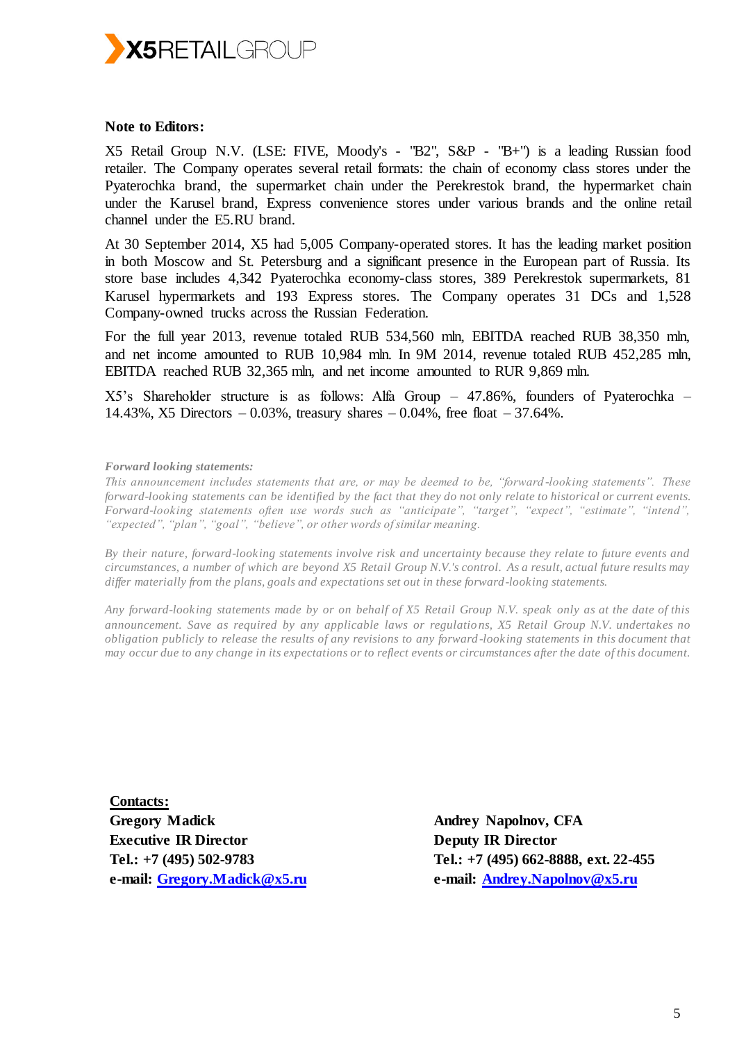

### **Note to Editors:**

X5 Retail Group N.V. (LSE: FIVE, Moody's - "B2", S&P - "B+") is a leading Russian food retailer. The Company operates several retail formats: the chain of economy class stores under the Pyaterochka brand, the supermarket chain under the Perekrestok brand, the hypermarket chain under the Karusel brand, Express convenience stores under various brands and the online retail channel under the E5.RU brand.

At 30 September 2014, X5 had 5,005 Company-operated stores. It has the leading market position in both Moscow and St. Petersburg and a significant presence in the European part of Russia. Its store base includes 4,342 Pyaterochka economy-class stores, 389 Perekrestok supermarkets, 81 Karusel hypermarkets and 193 Express stores. The Company operates 31 DCs and 1,528 Company-owned trucks across the Russian Federation.

For the full year 2013, revenue totaled RUB 534,560 mln, EBITDA reached RUB 38,350 mln, and net income amounted to RUB 10,984 mln. In 9M 2014, revenue totaled RUB 452,285 mln, EBITDA reached RUB 32,365 mln, and net income amounted to RUR 9,869 mln.

X5's Shareholder structure is as follows: Alfa Group – 47.86%, founders of Pyaterochka – 14.43%, X5 Directors  $-0.03%$ , treasury shares  $-0.04%$ , free float  $-37.64%$ .

*Forward looking statements:*

*This announcement includes statements that are, or may be deemed to be, "forward -looking statements". These forward-looking statements can be identified by the fact that they do not only relate to historical or current events. Forward-looking statements often use words such as "anticipate", "target", "expect", "estimate", "intend", "expected", "plan", "goal", "believe", or other words of similar meaning.*

*By their nature, forward-looking statements involve risk and uncertainty because they relate to future events and circumstances, a number of which are beyond X5 Retail Group N.V.'s control. As a result, actual future results may differ materially from the plans, goals and expectations set out in these forward-looking statements.* 

*Any forward-looking statements made by or on behalf of X5 Retail Group N.V. speak only as at the date of this announcement. Save as required by any applicable laws or regulatio ns, X5 Retail Group N.V. undertakes no obligation publicly to release the results of any revisions to any forward -looking statements in this document that may occur due to any change in its expectations or to reflect events or circumstances after the date of this document.*

**Contacts: Gregory Madick Executive IR Director Tel.: +7 (495) 502-9783 e-mail: [Gregory.Madick@x5.ru](mailto:Gregory.Madick@x5.ru)**

**Andrey Napolnov, CFA Deputy IR Director Tel.: +7 (495) 662-8888, ext. 22-455 e-mail: [Andrey.Napolnov@x5.ru](mailto:Andrey.Napolnov@x5.ru)**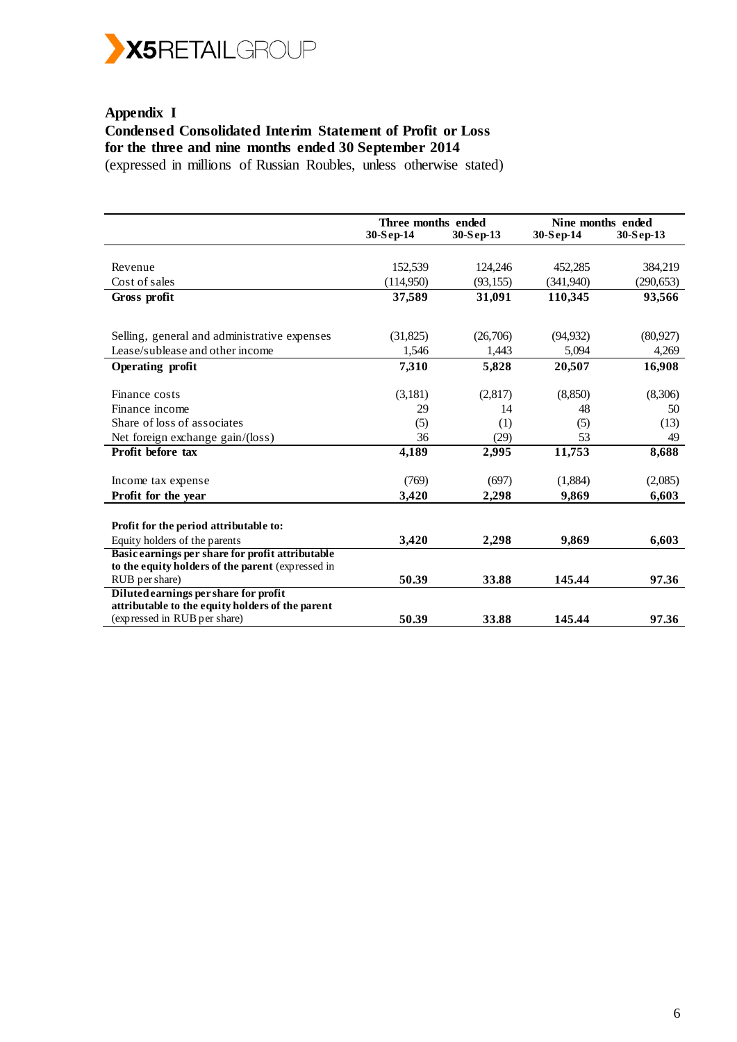

# **Appendix I Condensed Consolidated Interim Statement of Profit or Loss for the three and nine months ended 30 September 2014**

(expressed in millions of Russian Roubles, unless otherwise stated)

|                                                   | Three months ended |           | Nine months ended |            |  |
|---------------------------------------------------|--------------------|-----------|-------------------|------------|--|
|                                                   | 30-Sep-14          | 30-Sep-13 | $30-Sep-14$       | 30-Sep-13  |  |
|                                                   |                    |           |                   |            |  |
| Revenue                                           | 152,539            | 124,246   | 452,285           | 384,219    |  |
| Cost of sales                                     | (114,950)          | (93, 155) | (341,940)         | (290, 653) |  |
| Gross profit                                      | 37,589             | 31,091    | 110,345           | 93,566     |  |
|                                                   |                    |           |                   |            |  |
|                                                   |                    |           |                   |            |  |
| Selling, general and administrative expenses      | (31,825)           | (26,706)  | (94, 932)         | (80, 927)  |  |
| Lease/sublease and other income                   | 1,546              | 1,443     | 5,094             | 4,269      |  |
| <b>Operating profit</b>                           | 7,310              | 5,828     | 20,507            | 16,908     |  |
| Finance costs                                     | (3,181)            | (2,817)   | (8, 850)          | (8,306)    |  |
| Finance income                                    | 29                 | 14        | 48                | 50         |  |
| Share of loss of associates                       |                    |           |                   |            |  |
|                                                   | (5)                | (1)       | (5)               | (13)       |  |
| Net foreign exchange gain/(loss)                  | 36                 | (29)      | 53                | 49         |  |
| Profit before tax                                 | 4,189              | 2,995     | 11,753            | 8,688      |  |
| Income tax expense                                | (769)              | (697)     | (1,884)           | (2,085)    |  |
| Profit for the year                               | 3,420              | 2,298     | 9,869             | 6,603      |  |
|                                                   |                    |           |                   |            |  |
| Profit for the period attributable to:            |                    |           |                   |            |  |
| Equity holders of the parents                     | 3,420              | 2,298     | 9,869             | 6,603      |  |
| Basic earnings per share for profit attributable  |                    |           |                   |            |  |
| to the equity holders of the parent (expressed in |                    |           |                   |            |  |
| RUB per share)                                    | 50.39              | 33.88     | 145.44            | 97.36      |  |
| Diluted earnings per share for profit             |                    |           |                   |            |  |
| attributable to the equity holders of the parent  |                    |           |                   |            |  |
| (expressed in RUB per share)                      | 50.39              | 33.88     | 145.44            | 97.36      |  |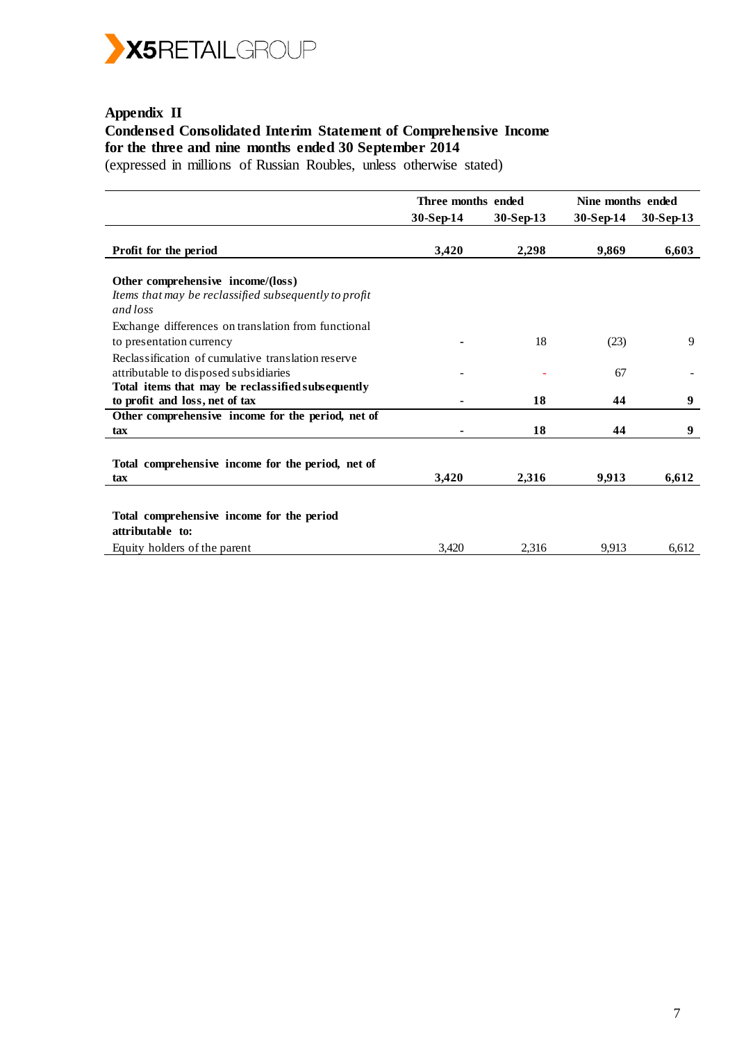

## **Appendix II Condensed Consolidated Interim Statement of Comprehensive Income for the three and nine months ended 30 September 2014**

(expressed in millions of Russian Roubles, unless otherwise stated)

|                                                                                                                                                  | Three months ended |           | Nine months ended |           |
|--------------------------------------------------------------------------------------------------------------------------------------------------|--------------------|-----------|-------------------|-----------|
|                                                                                                                                                  | 30-Sep-14          | 30-Sep-13 | 30-Sep-14         | 30-Sep-13 |
| Profit for the period                                                                                                                            | 3,420              | 2,298     | 9,869             | 6,603     |
| Other comprehensive income/(loss)<br>Items that may be reclassified subsequently to profit<br>and loss                                           |                    |           |                   |           |
| Exchange differences on translation from functional<br>to presentation currency                                                                  |                    | 18        | (23)              | 9         |
| Reclassification of cumulative translation reserve<br>attributable to disposed subsidiaries<br>Total items that may be reclassified subsequently |                    |           | 67                |           |
| to profit and loss, net of tax                                                                                                                   |                    | 18        | 44                | 9         |
| Other comprehensive income for the period, net of                                                                                                |                    |           |                   |           |
| tax                                                                                                                                              |                    | 18        | 44                | 9         |
| Total comprehensive income for the period, net of<br>tax                                                                                         | 3,420              | 2,316     | 9,913             | 6,612     |
| Total comprehensive income for the period<br>attributable to:                                                                                    |                    |           |                   |           |
| Equity holders of the parent                                                                                                                     | 3,420              | 2,316     | 9,913             | 6,612     |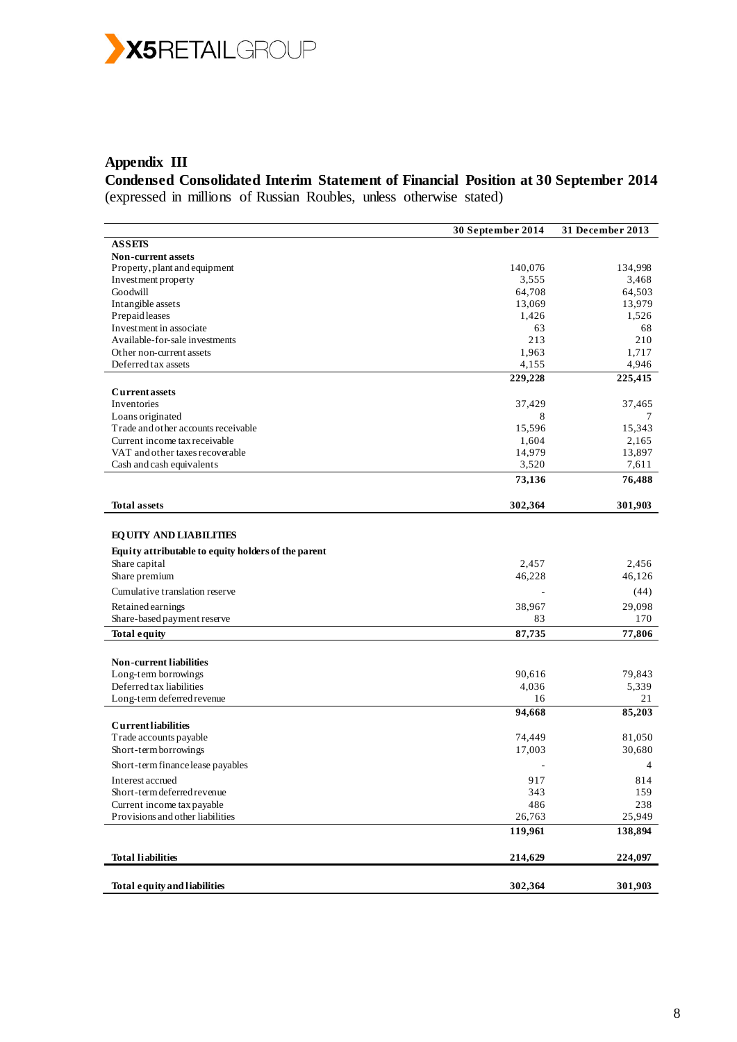

# **Appendix III**

**Condensed Consolidated Interim Statement of Financial Position at 30 September 2014** (expressed in millions of Russian Roubles, unless otherwise stated)

|                                                         | 30 September 2014 | 31 December 2013 |
|---------------------------------------------------------|-------------------|------------------|
| <b>ASSEIS</b>                                           |                   |                  |
| <b>Non-current assets</b>                               |                   |                  |
| Property, plant and equipment                           | 140,076           | 134,998          |
| Investment property                                     | 3,555             | 3,468            |
| Goodwill                                                | 64,708            | 64,503           |
| Intangible assets                                       | 13,069            | 13,979           |
| Prepaid leases                                          | 1,426             | 1,526            |
| Investment in associate                                 | 63                | 68               |
| Available-for-sale investments                          | 213               | 210              |
| Other non-current assets<br>Deferred tax assets         | 1,963             | 1,717<br>4,946   |
|                                                         | 4,155             |                  |
|                                                         | 229,228           | 225,415          |
| <b>Current assets</b>                                   |                   |                  |
| Inventories                                             | 37,429            | 37,465           |
| Loans originated<br>Trade and other accounts receivable | 8<br>15,596       | 7<br>15,343      |
| Current income tax receivable                           | 1,604             | 2,165            |
| VAT and other taxes recoverable                         | 14,979            | 13,897           |
| Cash and cash equivalents                               | 3,520             | 7,611            |
|                                                         |                   | 76,488           |
|                                                         | 73,136            |                  |
| <b>Total assets</b>                                     | 302,364           | 301,903          |
|                                                         |                   |                  |
| <b>EQUITY AND LIABILITIES</b>                           |                   |                  |
|                                                         |                   |                  |
| Equity attributable to equity holders of the parent     |                   |                  |
| Share capital                                           | 2,457<br>46,228   | 2,456<br>46,126  |
| Share premium                                           |                   |                  |
| Cumulative translation reserve                          |                   | (44)             |
| Retained earnings                                       | 38,967            | 29,098           |
| Share-based payment reserve                             | 83                | 170              |
| <b>Total equity</b>                                     | 87,735            | 77,806           |
|                                                         |                   |                  |
| <b>Non-current liabilities</b>                          |                   |                  |
| Long-term borrowings                                    | 90,616            | 79,843           |
| Deferred tax liabilities                                | 4,036             | 5,339            |
| Long-term deferred revenue                              | 16                | 21               |
|                                                         | 94,668            | 85,203           |
| <b>Currentliabilities</b>                               |                   |                  |
| Trade accounts payable                                  | 74,449            | 81,050           |
| Short-term borrowings                                   | 17,003            | 30,680           |
| Short-term finance lease payables                       |                   | 4                |
| Interest accrued                                        | 917               | 814              |
| Short-term deferred revenue                             | 343               | 159              |
| Current income tax payable                              | 486               | 238              |
| Provisions and other liabilities                        | 26,763            | 25,949           |
|                                                         | 119,961           | 138,894          |
|                                                         |                   |                  |
| <b>Total liabilities</b>                                | 214,629           | 224,097          |
|                                                         |                   |                  |
| <b>Total equity and liabilities</b>                     | 302,364           | 301,903          |